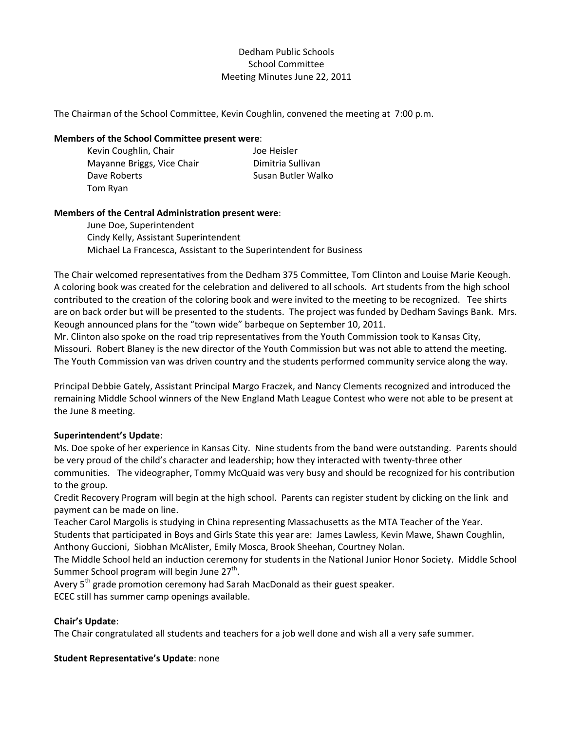# Dedham Public Schools School Committee Meeting Minutes June 22, 2011

The Chairman of the School Committee, Kevin Coughlin, convened the meeting at 7:00 p.m.

#### **Members of the School Committee present were**:

Kevin Coughlin, Chair **In Coughlin**, Chair Mayanne Briggs, Vice Chair **Dimitria Sullivan** Dave Roberts **Calculate Contract Contract Contract Contract Contract Contract Contract Contract Contract Contract Contract Contract Contract Contract Contract Contract Contract Contract Contract Contract Contract Contract** Tom Ryan

#### **Members of the Central Administration present were**:

June Doe, Superintendent Cindy Kelly, Assistant Superintendent Michael La Francesca, Assistant to the Superintendent for Business

The Chair welcomed representatives from the Dedham 375 Committee, Tom Clinton and Louise Marie Keough. A coloring book was created for the celebration and delivered to all schools. Art students from the high school contributed to the creation of the coloring book and were invited to the meeting to be recognized. Tee shirts are on back order but will be presented to the students. The project was funded by Dedham Savings Bank. Mrs. Keough announced plans for the "town wide" barbeque on September 10, 2011.

Mr. Clinton also spoke on the road trip representatives from the Youth Commission took to Kansas City, Missouri. Robert Blaney is the new director of the Youth Commission but was not able to attend the meeting. The Youth Commission van was driven country and the students performed community service along the way.

Principal Debbie Gately, Assistant Principal Margo Fraczek, and Nancy Clements recognized and introduced the remaining Middle School winners of the New England Math League Contest who were not able to be present at the June 8 meeting.

# **Superintendent's Update**:

Ms. Doe spoke of her experience in Kansas City. Nine students from the band were outstanding. Parents should be very proud of the child's character and leadership; how they interacted with twenty‐three other communities. The videographer, Tommy McQuaid was very busy and should be recognized for his contribution to the group.

Credit Recovery Program will begin at the high school. Parents can register student by clicking on the link and payment can be made on line.

Teacher Carol Margolis is studying in China representing Massachusetts as the MTA Teacher of the Year. Students that participated in Boys and Girls State this year are: James Lawless, Kevin Mawe, Shawn Coughlin, Anthony Guccioni, Siobhan McAlister, Emily Mosca, Brook Sheehan, Courtney Nolan.

The Middle School held an induction ceremony for students in the National Junior Honor Society. Middle School Summer School program will begin June  $27<sup>th</sup>$ .

Avery 5<sup>th</sup> grade promotion ceremony had Sarah MacDonald as their guest speaker.

ECEC still has summer camp openings available.

# **Chair's Update**:

The Chair congratulated all students and teachers for a job well done and wish all a very safe summer.

#### **Student Representative's Update**: none